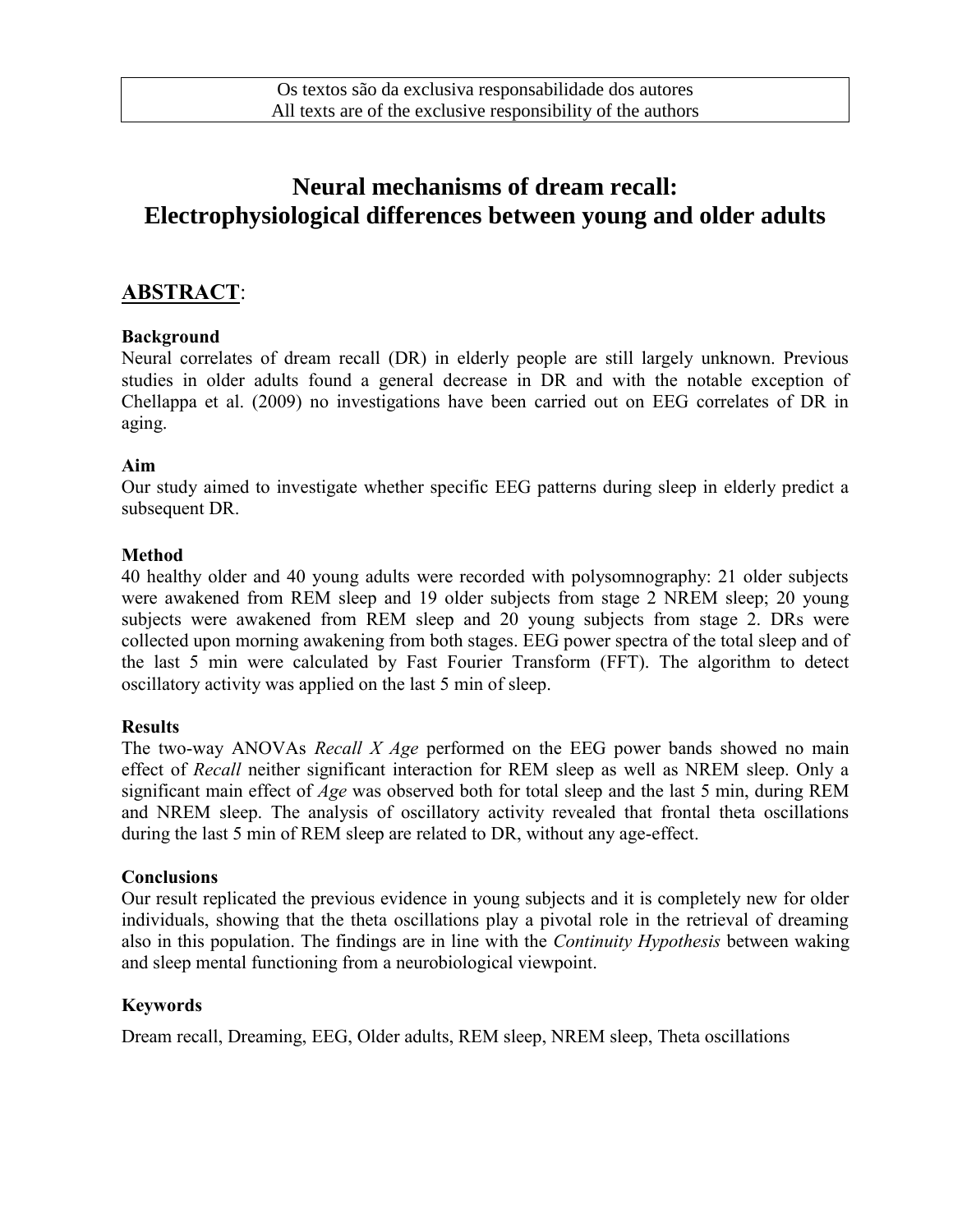# **Neural mechanisms of dream recall: Electrophysiological differences between young and older adults**

# **ABSTRACT**:

# **Background**

Neural correlates of dream recall (DR) in elderly people are still largely unknown. Previous studies in older adults found a general decrease in DR and with the notable exception of Chellappa et al. (2009) no investigations have been carried out on EEG correlates of DR in aging.

# **Aim**

Our study aimed to investigate whether specific EEG patterns during sleep in elderly predict a subsequent DR.

# **Method**

40 healthy older and 40 young adults were recorded with polysomnography: 21 older subjects were awakened from REM sleep and 19 older subjects from stage 2 NREM sleep; 20 young subjects were awakened from REM sleep and 20 young subjects from stage 2. DRs were collected upon morning awakening from both stages. EEG power spectra of the total sleep and of the last 5 min were calculated by Fast Fourier Transform (FFT). The algorithm to detect oscillatory activity was applied on the last 5 min of sleep.

# **Results**

The two-way ANOVAs *Recall X Age* performed on the EEG power bands showed no main effect of *Recall* neither significant interaction for REM sleep as well as NREM sleep. Only a significant main effect of *Age* was observed both for total sleep and the last 5 min, during REM and NREM sleep. The analysis of oscillatory activity revealed that frontal theta oscillations during the last 5 min of REM sleep are related to DR, without any age-effect.

#### **Conclusions**

Our result replicated the previous evidence in young subjects and it is completely new for older individuals, showing that the theta oscillations play a pivotal role in the retrieval of dreaming also in this population. The findings are in line with the *Continuity Hypothesis* between waking and sleep mental functioning from a neurobiological viewpoint.

# **Keywords**

Dream recall, Dreaming, EEG, Older adults, REM sleep, NREM sleep, Theta oscillations